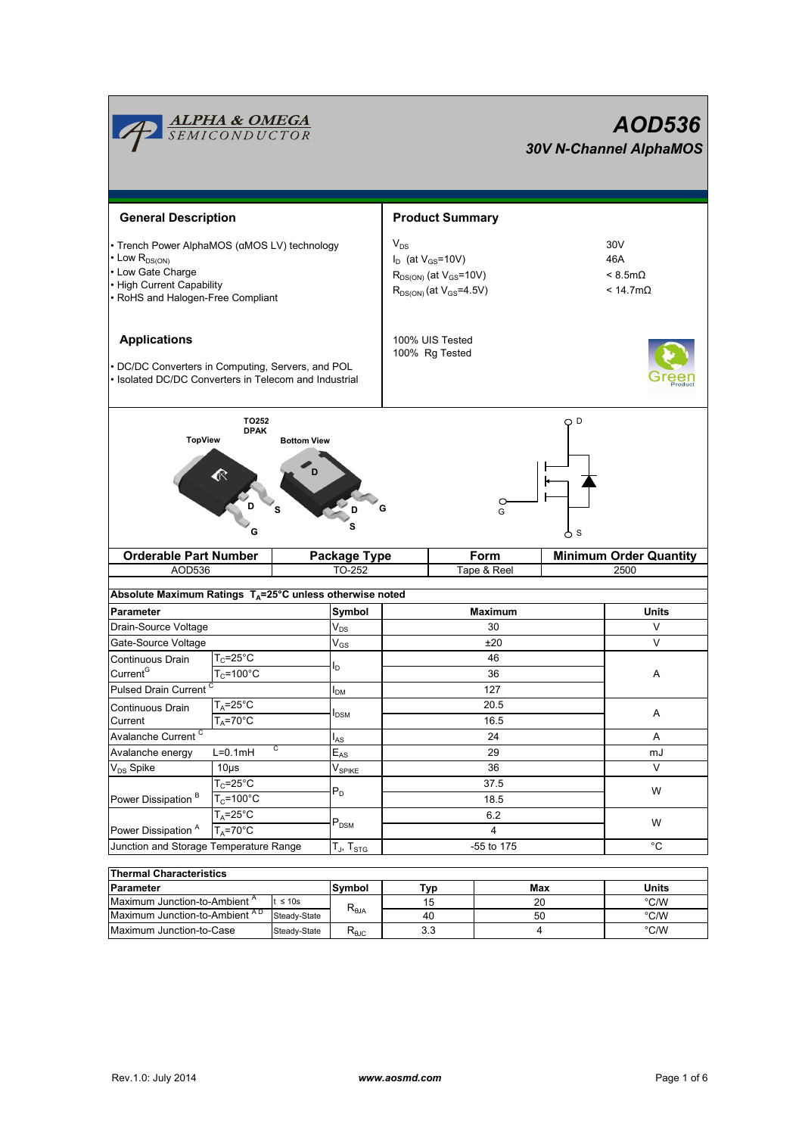|                                                                                                                                                                     | <u>ALPHA &amp; OMEGA</u><br>SEMICONDUCTOR |                               |                            |                                                                                                             |      |        |                | AOD536<br><b>30V N-Channel AlphaMOS</b>                         |  |
|---------------------------------------------------------------------------------------------------------------------------------------------------------------------|-------------------------------------------|-------------------------------|----------------------------|-------------------------------------------------------------------------------------------------------------|------|--------|----------------|-----------------------------------------------------------------|--|
| <b>General Description</b>                                                                                                                                          | <b>Product Summary</b>                    |                               |                            |                                                                                                             |      |        |                |                                                                 |  |
| · Trench Power AlphaMOS (αMOS LV) technology<br>Low R <sub>DS(ON)</sub><br>• Low Gate Charge<br><b>High Current Capability</b><br>• RoHS and Halogen-Free Compliant |                                           |                               |                            | $V_{DS}$<br>$I_D$ (at $V_{GS}$ =10V)<br>$R_{DS(ON)}$ (at $V_{GS}$ =10V)<br>$R_{DS(ON)}$ (at $V_{GS}$ =4.5V) |      |        |                | 30V<br>46A<br>$< 8.5 \text{m}\Omega$<br>$< 14.7 \text{m}\Omega$ |  |
| <b>Applications</b><br>DC/DC Converters in Computing, Servers, and POL<br>Isolated DC/DC Converters in Telecom and Industrial                                       |                                           |                               |                            | 100% UIS Tested<br>100% Rg Tested                                                                           |      |        |                |                                                                 |  |
| <b>TopView</b>                                                                                                                                                      | TO252<br><b>DPAK</b>                      | <b>Bottom View</b><br>s       |                            | G                                                                                                           |      | C<br>G | O D<br>δs      |                                                                 |  |
| <b>Orderable Part Number</b>                                                                                                                                        |                                           |                               | Form<br>Package Type       |                                                                                                             |      |        |                | <b>Minimum Order Quantity</b>                                   |  |
| AOD536                                                                                                                                                              |                                           |                               | TO-252<br>Tape & Reel      |                                                                                                             |      |        | 2500           |                                                                 |  |
| Absolute Maximum Ratings T <sub>A</sub> =25°C unless otherwise noted                                                                                                |                                           |                               |                            |                                                                                                             |      |        |                |                                                                 |  |
| Parameter                                                                                                                                                           |                                           |                               | Symbol                     | <b>Maximum</b>                                                                                              |      |        | Units          |                                                                 |  |
| Drain-Source Voltage                                                                                                                                                |                                           |                               | $\mathsf{V}_{\mathsf{DS}}$ | 30                                                                                                          |      |        | V              |                                                                 |  |
| Gate-Source Voltage                                                                                                                                                 |                                           |                               | $V_{GS}$                   | ±20                                                                                                         |      |        |                | $\vee$                                                          |  |
| $T_c = 25$ °C<br>Continuous Drain                                                                                                                                   |                                           |                               |                            | 46                                                                                                          |      |        |                |                                                                 |  |
| Current <sup>G</sup>                                                                                                                                                | $T_c = 100^{\circ}$ C                     |                               | l <sub>D</sub>             |                                                                                                             | 36   |        |                | Α                                                               |  |
| Pulsed Drain Current <sup>C</sup>                                                                                                                                   |                                           |                               | I <sub>DM</sub>            |                                                                                                             |      | 127    |                |                                                                 |  |
| Continuous Drain                                                                                                                                                    | $T_A = 25^\circ C$                        |                               |                            |                                                                                                             |      | 20.5   |                |                                                                 |  |
| Current                                                                                                                                                             | $T_A = 70$ °C                             |                               | $I_{DSM}$                  |                                                                                                             | 16.5 |        |                | Α                                                               |  |
| Avalanche Current <sup>C</sup>                                                                                                                                      |                                           |                               | l <sub>AS</sub>            | 24                                                                                                          |      |        |                | Α                                                               |  |
| С<br>$L=0.1mH$<br>Avalanche energy                                                                                                                                  |                                           | $\mathsf{E}_{\mathsf{AS}}$    | 29                         |                                                                                                             |      |        | mJ             |                                                                 |  |
| V <sub>DS</sub> Spike                                                                                                                                               | 10 <sub>µ</sub> s                         | $\mathsf{V}_{\mathsf{SPIKE}}$ |                            | 36                                                                                                          |      |        | $\vee$         |                                                                 |  |
|                                                                                                                                                                     | $T_c = 25^{\circ}C$                       |                               |                            |                                                                                                             | 37.5 |        |                |                                                                 |  |
| Power Dissipation <sup>B</sup>                                                                                                                                      | $T_c = 100^{\circ}$ C                     | $\mathsf{P}_\mathsf{D}$       |                            | 18.5                                                                                                        |      |        |                | W<br>W                                                          |  |
|                                                                                                                                                                     | $T_A = 25^\circ C$                        |                               |                            | 6.2                                                                                                         |      |        |                |                                                                 |  |
| Power Dissipation <sup>A</sup><br>$T_A = 70^\circ C$                                                                                                                |                                           | $P_{DSM}$                     | $\overline{4}$             |                                                                                                             |      |        |                |                                                                 |  |
| Junction and Storage Temperature Range                                                                                                                              |                                           |                               | $T_J$ , $T_{STG}$          | -55 to 175                                                                                                  |      |        | $\overline{c}$ |                                                                 |  |
|                                                                                                                                                                     |                                           |                               |                            |                                                                                                             |      |        |                |                                                                 |  |
| <b>Thermal Characteristics</b><br>Parameter                                                                                                                         |                                           |                               | Symbol                     | Tvn                                                                                                         |      |        | Max            | <b>Units</b>                                                    |  |

| Thermal Unaracteristics                  |                                 |            |     |       |      |  |  |  |
|------------------------------------------|---------------------------------|------------|-----|-------|------|--|--|--|
| Parameter                                | Svmbol                          | [VD        | Max | Units |      |  |  |  |
| Maximum Junction-to-Ambient <sup>"</sup> | $\leq 10s$                      |            | 15  | 20    | °C/W |  |  |  |
| Maximum Junction-to-Ambient AD           | $R_{\theta JA}$<br>Steady-State |            | 40  | 50    | °C/W |  |  |  |
| Maximum Junction-to-Case                 | Steady-State                    | $R_{A,IC}$ | 3.3 |       | °C/W |  |  |  |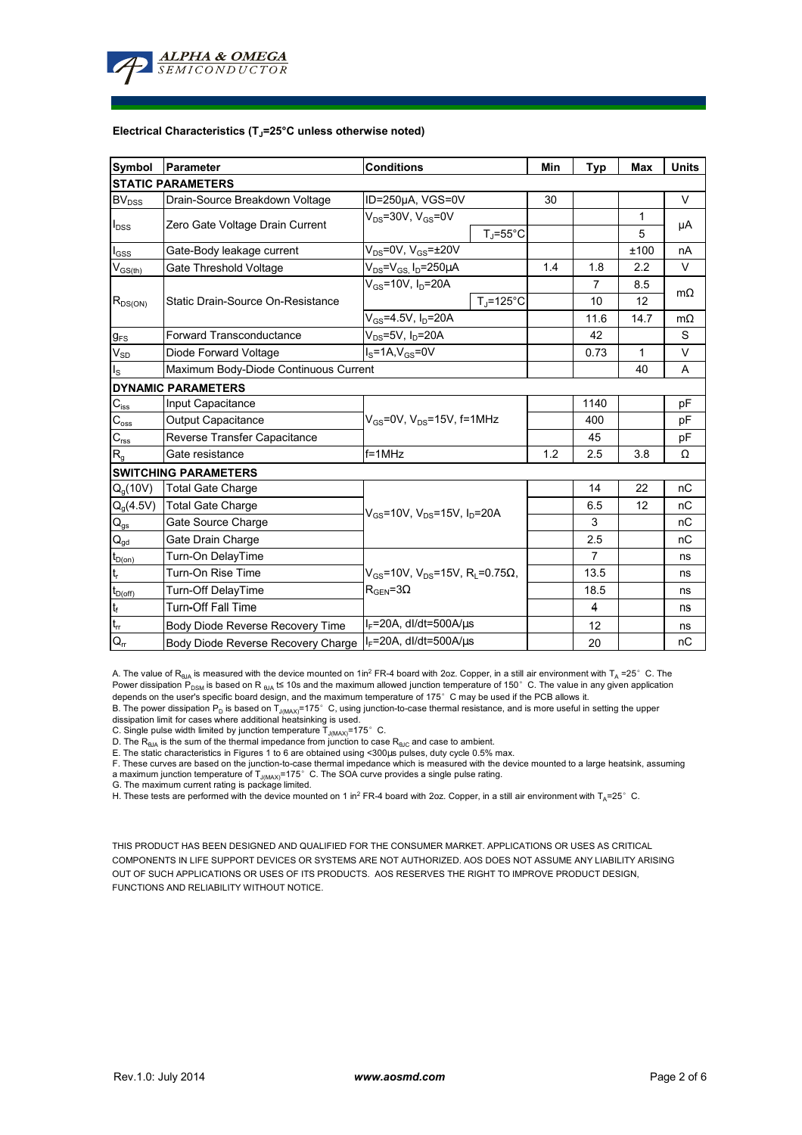

#### **Electrical Characteristics (TJ=25°C unless otherwise noted)**

| Symbol                                  | <b>Conditions</b><br>Parameter                                        |                                                                    |                | Min  | <b>Typ</b>     | <b>Max</b> | <b>Units</b> |
|-----------------------------------------|-----------------------------------------------------------------------|--------------------------------------------------------------------|----------------|------|----------------|------------|--------------|
|                                         | <b>STATIC PARAMETERS</b>                                              |                                                                    |                |      |                |            |              |
| <b>BV</b> <sub>DSS</sub>                | Drain-Source Breakdown Voltage                                        | ID=250µA, VGS=0V                                                   |                | 30   |                |            | V            |
| $I_{DSS}$                               | Zero Gate Voltage Drain Current                                       | $V_{DS}$ =30V, $V_{GS}$ =0V<br>$T_{\rm J}$ =55°C                   |                |      |                | 1          | μA           |
|                                         |                                                                       |                                                                    |                |      |                | 5          |              |
| $I_{GSS}$                               | Gate-Body leakage current                                             | $V_{DS}$ =0V, $V_{GS}$ = $\pm$ 20V                                 |                |      |                | ±100       | nA           |
| $\mathsf{V}_{\mathsf{GS}(\mathsf{th})}$ | Gate Threshold Voltage                                                | $V_{DS} = V_{GS} I_D = 250 \mu A$                                  |                | 1.4  | 1.8            | 2.2        | V            |
| $R_{DS(ON)}$                            |                                                                       | $V_{GS}$ =10V, $I_D$ =20A                                          |                |      | 7              | 8.5        | $m\Omega$    |
|                                         | Static Drain-Source On-Resistance                                     |                                                                    | $T_i = 125$ °C |      | 10             | 12         |              |
|                                         |                                                                       | $V_{GS}$ =4.5V, $I_D$ =20A                                         |                | 11.6 | 14.7           | $m\Omega$  |              |
| $g_{FS}$                                | $V_{DS}$ =5V, I <sub>D</sub> =20A<br><b>Forward Transconductance</b>  |                                                                    |                |      | 42             |            | S            |
| $V_{SD}$                                | Diode Forward Voltage<br>$I_S = 1A, V_{GS} = 0V$                      |                                                                    |                |      | 0.73           | 1          | V            |
| $\mathsf{I}_\mathsf{S}$                 | Maximum Body-Diode Continuous Current                                 |                                                                    |                |      | 40             | A          |              |
|                                         | <b>DYNAMIC PARAMETERS</b>                                             |                                                                    |                |      |                |            |              |
| $C_{\hbox{\scriptsize{iss}}}$           | Input Capacitance                                                     |                                                                    |                |      | 1140           |            | pF           |
| $C_{\underline{\text{oss}}}$            | $V_{GS}$ =0V, $V_{DS}$ =15V, f=1MHz<br><b>Output Capacitance</b>      |                                                                    |                |      | 400            |            | рF           |
| $\mathbf{C}_{\text{rss}}$               | Reverse Transfer Capacitance                                          |                                                                    |                |      | 45             |            | pF           |
| $R_{q}$                                 | Gate resistance                                                       | $f = 1$ MHz                                                        |                | 1.2  | 2.5            | 3.8        | Ω            |
|                                         | <b>SWITCHING PARAMETERS</b>                                           |                                                                    |                |      |                |            |              |
| $Q_q(10V)$                              | <b>Total Gate Charge</b>                                              | $V_{GS}$ =10V, $V_{DS}$ =15V, $I_D$ =20A                           |                |      | 14             | 22         | nC           |
| $Q_g(4.5V)$                             | <b>Total Gate Charge</b>                                              |                                                                    |                |      | 6.5            | 12         | nC           |
| $\mathsf{Q}_{\mathsf{gs}}$              | Gate Source Charge                                                    |                                                                    |                |      | 3              |            | nC           |
| $\mathsf{Q}_{\underline{\mathsf{gd}}}$  | Gate Drain Charge                                                     |                                                                    |                |      | 2.5            |            | nC           |
| $t_{D(0n)}$                             | Turn-On DelayTime                                                     | $V_{\text{gs}}$ =10V, V <sub>DS</sub> =15V, R <sub>i</sub> =0.75Ω, |                |      | $\overline{7}$ |            | ns           |
| $t_r$                                   | Turn-On Rise Time                                                     |                                                                    |                |      | 13.5           |            | ns           |
| $t_{D(off)}$                            | <b>Turn-Off DelayTime</b>                                             | $R_{\text{GEN}} = 3\Omega$                                         |                |      | 18.5           |            | ns           |
| $\mathbf{t}_\mathrm{f}$                 | <b>Turn-Off Fall Time</b>                                             |                                                                    |                |      | 4              |            | ns           |
| $t_{\rm cr}$                            | $I_F$ =20A, dl/dt=500A/ $\mu$ s<br>Body Diode Reverse Recovery Time   |                                                                    |                | 12   |                | ns         |              |
| $Q_{rr}$                                | $I_F$ =20A, dl/dt=500A/ $\mu$ s<br>Body Diode Reverse Recovery Charge |                                                                    |                | 20   |                | nC         |              |

A. The value of R<sub>θJA</sub> is measured with the device mounted on 1in<sup>2</sup> FR-4 board with 2oz. Copper, in a still air environment with T<sub>A</sub> =25° C. The Power dissipation  $\widehat{P}_{DSM}$  is based on R  $_{\text{QJA}}$  t≤ 10s and the maximum allowed junction temperature of 150°C. The value in any given application depends on the user's specific board design, and the maximum temperature of 175°C may be used if the PCB allows it.

B. The power dissipation P<sub>D</sub> is based on T<sub>J(MAX)</sub>=175°C, using junction-to-case thermal resistance, and is more useful in setting the upper<br>dissipation limit for cases where additional heatsinking is used.

C. Single pulse width limited by junction temperature  $T_{J(MAX)} = 175^\circ$  C.

D. The  $R_{AIA}$  is the sum of the thermal impedance from junction to case  $R_{AIC}$  and case to ambient.

E. The static characteristics in Figures 1 to 6 are obtained using <300μs pulses, duty cycle 0.5% max.<br>F. These curves are based on the junction-to-case thermal impedance which is measured with the device mounted to a lar a maximum junction temperature of  $T_{J(MAX)}$ =175°C. The SOA curve provides a single pulse rating.

G. The maximum current rating is package limited.

H. These tests are performed with the device mounted on 1 in<sup>2</sup> FR-4 board with 2oz. Copper, in a still air environment with T<sub>A</sub>=25°C.

THIS PRODUCT HAS BEEN DESIGNED AND QUALIFIED FOR THE CONSUMER MARKET. APPLICATIONS OR USES AS CRITICAL COMPONENTS IN LIFE SUPPORT DEVICES OR SYSTEMS ARE NOT AUTHORIZED. AOS DOES NOT ASSUME ANY LIABILITY ARISING OUT OF SUCH APPLICATIONS OR USES OF ITS PRODUCTS. AOS RESERVES THE RIGHT TO IMPROVE PRODUCT DESIGN, FUNCTIONS AND RELIABILITY WITHOUT NOTICE.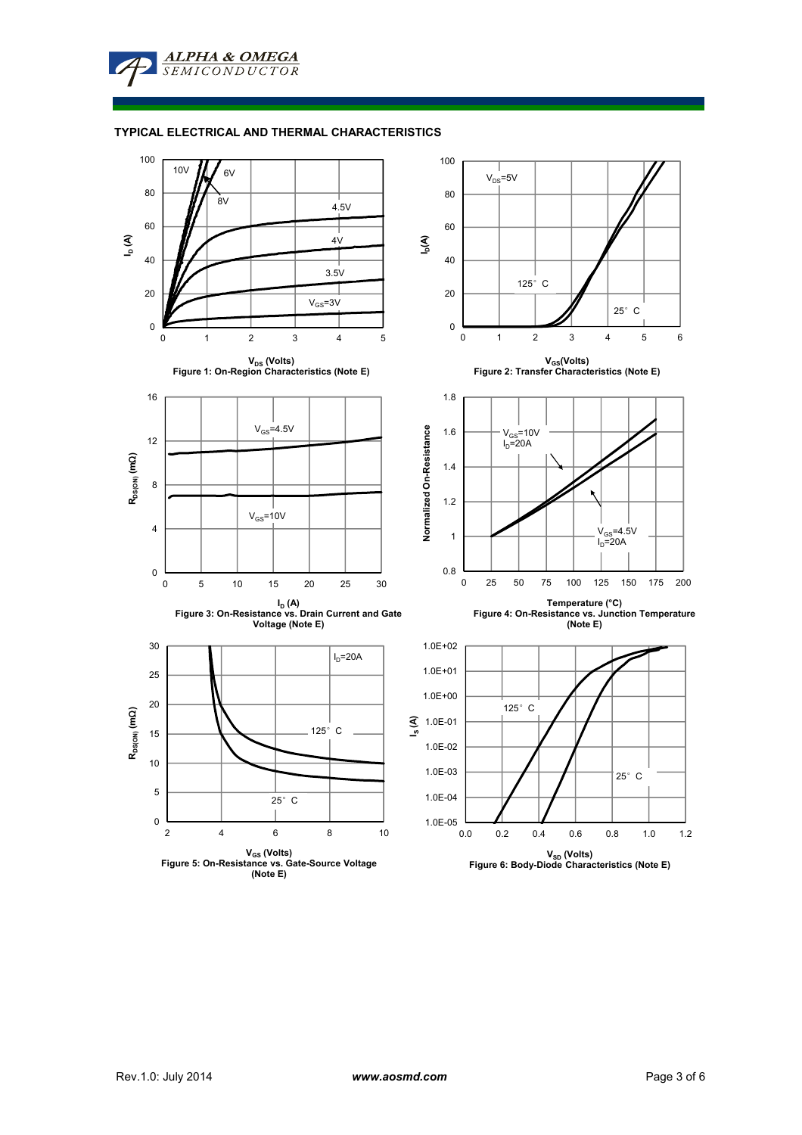**ALPHA & OMEGA SEMICONDUCTOR** 

#### **TYPICAL ELECTRICAL AND THERMAL CHARACTERISTICS**

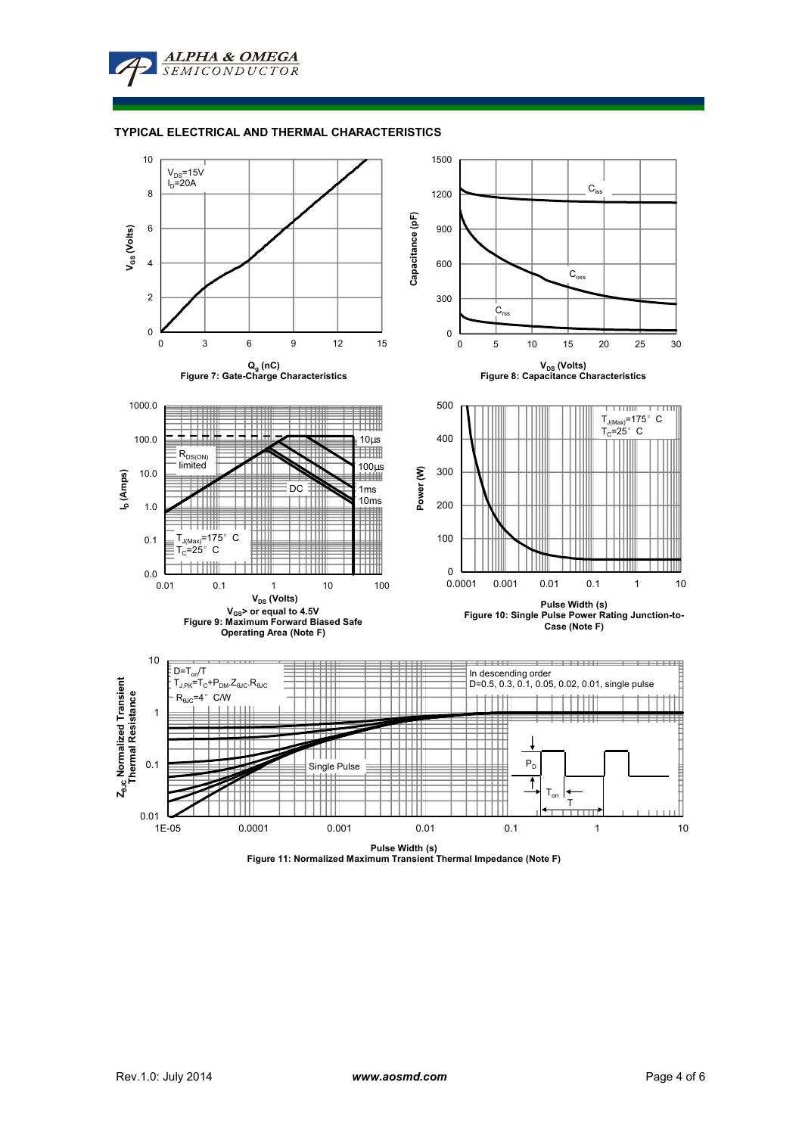**ALPHA & OMEGA** SEMICONDUCTOR

#### **TYPICAL ELECTRICAL AND THERMAL CHARACTERISTICS**



**Pulse Width (s) Figure 11: Normalized Maximum Transient Thermal Impedance (Note F)**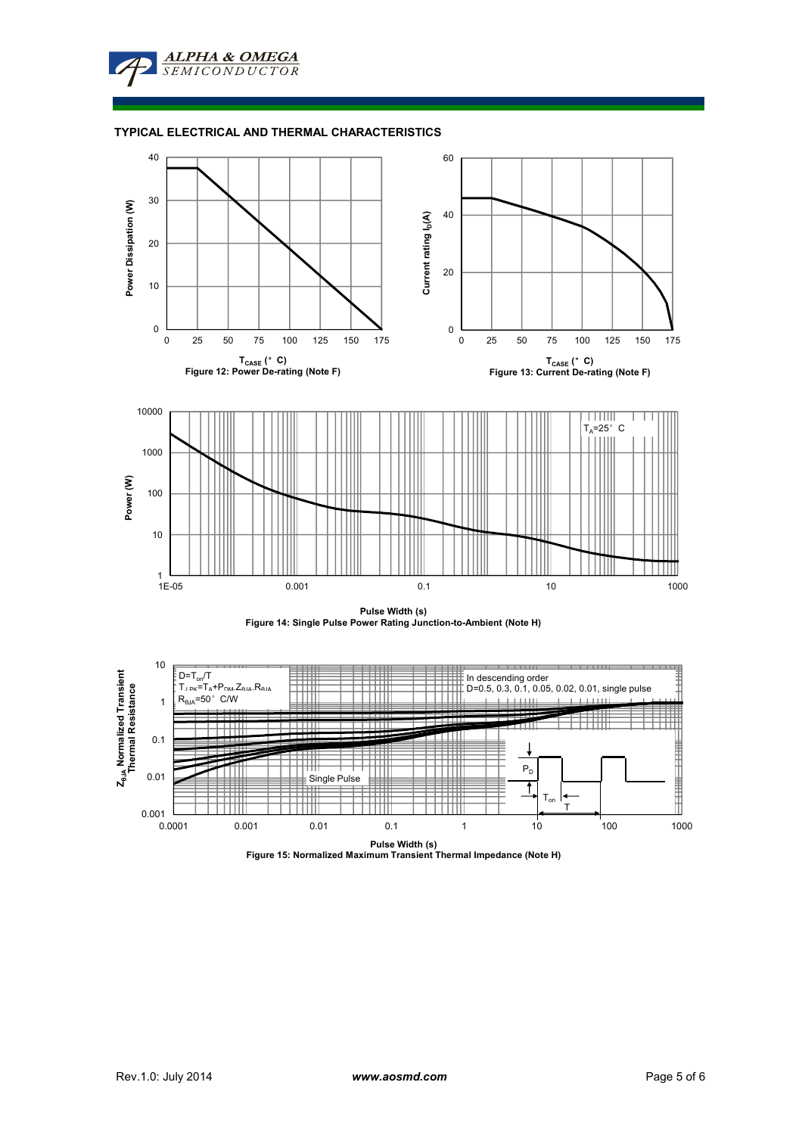

### **TYPICAL ELECTRICAL AND THERMAL CHARACTERISTICS**